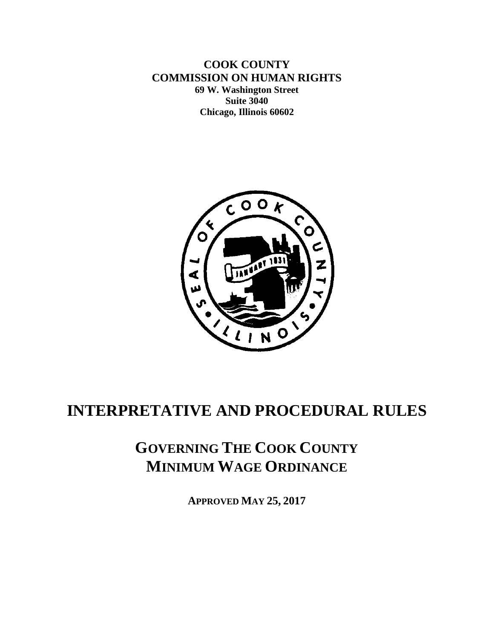**COOK COUNTY COMMISSION ON HUMAN RIGHTS 69 W. Washington Street Suite 3040 Chicago, Illinois 60602**



# **INTERPRETATIVE AND PROCEDURAL RULES**

# **GOVERNING THE COOK COUNTY MINIMUM WAGE ORDINANCE**

**APPROVED MAY 25, 2017**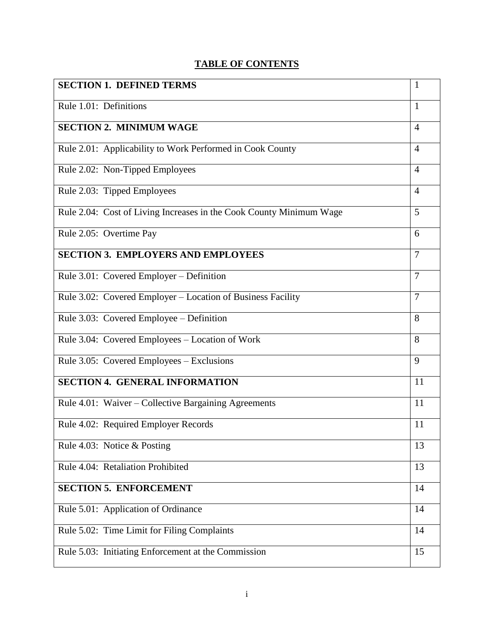## **TABLE OF CONTENTS**

| <b>SECTION 1. DEFINED TERMS</b>                                     | $\mathbf{1}$   |
|---------------------------------------------------------------------|----------------|
| Rule 1.01: Definitions                                              | $\mathbf{1}$   |
| <b>SECTION 2. MINIMUM WAGE</b>                                      | $\overline{4}$ |
| Rule 2.01: Applicability to Work Performed in Cook County           | $\overline{4}$ |
| Rule 2.02: Non-Tipped Employees                                     | $\overline{4}$ |
| Rule 2.03: Tipped Employees                                         | $\overline{4}$ |
| Rule 2.04: Cost of Living Increases in the Cook County Minimum Wage | 5              |
| Rule 2.05: Overtime Pay                                             | 6              |
| <b>SECTION 3. EMPLOYERS AND EMPLOYEES</b>                           | $\overline{7}$ |
| Rule 3.01: Covered Employer - Definition                            | $\overline{7}$ |
| Rule 3.02: Covered Employer – Location of Business Facility         | 7              |
| Rule 3.03: Covered Employee – Definition                            | 8              |
| Rule 3.04: Covered Employees - Location of Work                     | 8              |
| Rule 3.05: Covered Employees – Exclusions                           | 9              |
| <b>SECTION 4. GENERAL INFORMATION</b>                               | 11             |
| Rule 4.01: Waiver – Collective Bargaining Agreements                | 11             |
| Rule 4.02: Required Employer Records                                | 11             |
| Rule 4.03: Notice & Posting                                         | 13             |
| Rule 4.04: Retaliation Prohibited                                   | 13             |
| <b>SECTION 5. ENFORCEMENT</b>                                       | 14             |
| Rule 5.01: Application of Ordinance                                 | 14             |
| Rule 5.02: Time Limit for Filing Complaints                         | 14             |
| Rule 5.03: Initiating Enforcement at the Commission                 | 15             |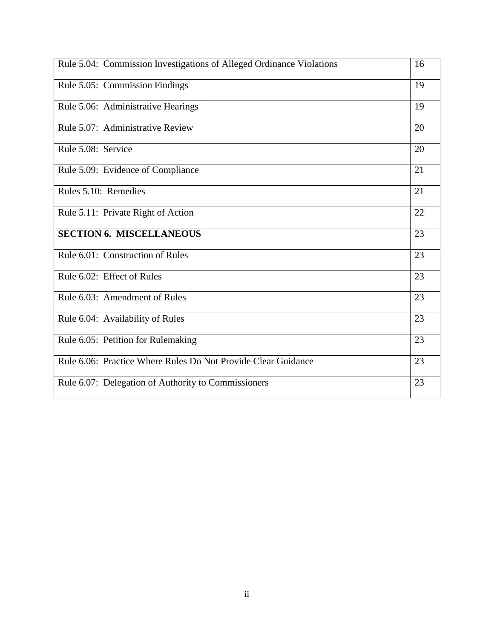| Rule 5.04: Commission Investigations of Alleged Ordinance Violations | 16 |
|----------------------------------------------------------------------|----|
| Rule 5.05: Commission Findings                                       | 19 |
| Rule 5.06: Administrative Hearings                                   | 19 |
| Rule 5.07: Administrative Review                                     | 20 |
| Rule 5.08: Service                                                   | 20 |
| Rule 5.09: Evidence of Compliance                                    | 21 |
| Rules 5.10: Remedies                                                 | 21 |
| Rule 5.11: Private Right of Action                                   | 22 |
| <b>SECTION 6. MISCELLANEOUS</b>                                      | 23 |
| Rule 6.01: Construction of Rules                                     | 23 |
| Rule 6.02: Effect of Rules                                           | 23 |
| Rule 6.03: Amendment of Rules                                        | 23 |
| Rule 6.04: Availability of Rules                                     | 23 |
| Rule 6.05: Petition for Rulemaking                                   | 23 |
| Rule 6.06: Practice Where Rules Do Not Provide Clear Guidance        | 23 |
| Rule 6.07: Delegation of Authority to Commissioners                  | 23 |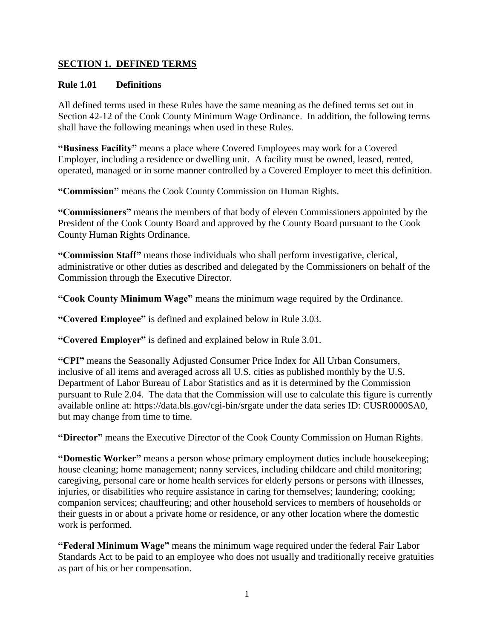#### **SECTION 1. DEFINED TERMS**

#### **Rule 1.01 Definitions**

All defined terms used in these Rules have the same meaning as the defined terms set out in Section 42-12 of the Cook County Minimum Wage Ordinance. In addition, the following terms shall have the following meanings when used in these Rules.

**"Business Facility"** means a place where Covered Employees may work for a Covered Employer, including a residence or dwelling unit. A facility must be owned, leased, rented, operated, managed or in some manner controlled by a Covered Employer to meet this definition.

**"Commission"** means the Cook County Commission on Human Rights.

**"Commissioners"** means the members of that body of eleven Commissioners appointed by the President of the Cook County Board and approved by the County Board pursuant to the Cook County Human Rights Ordinance.

**"Commission Staff"** means those individuals who shall perform investigative, clerical, administrative or other duties as described and delegated by the Commissioners on behalf of the Commission through the Executive Director.

**"Cook County Minimum Wage"** means the minimum wage required by the Ordinance.

**"Covered Employee"** is defined and explained below in Rule 3.03.

**"Covered Employer"** is defined and explained below in Rule 3.01.

**"CPI"** means the Seasonally Adjusted Consumer Price Index for All Urban Consumers, inclusive of all items and averaged across all U.S. cities as published monthly by the U.S. Department of Labor Bureau of Labor Statistics and as it is determined by the Commission pursuant to Rule 2.04. The data that the Commission will use to calculate this figure is currently available online at: https://data.bls.gov/cgi-bin/srgate under the data series ID: CUSR0000SA0, but may change from time to time.

**"Director"** means the Executive Director of the Cook County Commission on Human Rights.

**"Domestic Worker"** means a person whose primary employment duties include housekeeping; house cleaning; home management; nanny services, including childcare and child monitoring; caregiving, personal care or home health services for elderly persons or persons with illnesses, injuries, or disabilities who require assistance in caring for themselves; laundering; cooking; companion services; chauffeuring; and other household services to members of households or their guests in or about a private home or residence, or any other location where the domestic work is performed.

**"Federal Minimum Wage"** means the minimum wage required under the federal Fair Labor Standards Act to be paid to an employee who does not usually and traditionally receive gratuities as part of his or her compensation.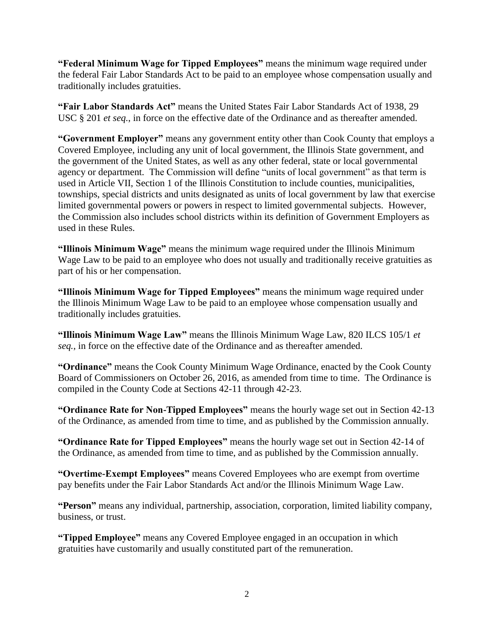**"Federal Minimum Wage for Tipped Employees"** means the minimum wage required under the federal Fair Labor Standards Act to be paid to an employee whose compensation usually and traditionally includes gratuities.

**"Fair Labor Standards Act"** means the United States Fair Labor Standards Act of 1938, 29 USC § 201 *et seq.*, in force on the effective date of the Ordinance and as thereafter amended.

**"Government Employer"** means any government entity other than Cook County that employs a Covered Employee, including any unit of local government, the Illinois State government, and the government of the United States, as well as any other federal, state or local governmental agency or department. The Commission will define "units of local government" as that term is used in Article VII, Section 1 of the Illinois Constitution to include counties, municipalities, townships, special districts and units designated as units of local government by law that exercise limited governmental powers or powers in respect to limited governmental subjects. However, the Commission also includes school districts within its definition of Government Employers as used in these Rules.

**"Illinois Minimum Wage"** means the minimum wage required under the Illinois Minimum Wage Law to be paid to an employee who does not usually and traditionally receive gratuities as part of his or her compensation.

**"Illinois Minimum Wage for Tipped Employees"** means the minimum wage required under the Illinois Minimum Wage Law to be paid to an employee whose compensation usually and traditionally includes gratuities.

**"Illinois Minimum Wage Law"** means the Illinois Minimum Wage Law, 820 ILCS 105/1 *et seq.*, in force on the effective date of the Ordinance and as thereafter amended.

**"Ordinance"** means the Cook County Minimum Wage Ordinance, enacted by the Cook County Board of Commissioners on October 26, 2016, as amended from time to time. The Ordinance is compiled in the County Code at Sections 42-11 through 42-23.

**"Ordinance Rate for Non-Tipped Employees"** means the hourly wage set out in Section 42-13 of the Ordinance, as amended from time to time, and as published by the Commission annually.

**"Ordinance Rate for Tipped Employees"** means the hourly wage set out in Section 42-14 of the Ordinance, as amended from time to time, and as published by the Commission annually.

**"Overtime-Exempt Employees"** means Covered Employees who are exempt from overtime pay benefits under the Fair Labor Standards Act and/or the Illinois Minimum Wage Law.

**"Person"** means any individual, partnership, association, corporation, limited liability company, business, or trust.

**"Tipped Employee"** means any Covered Employee engaged in an occupation in which gratuities have customarily and usually constituted part of the remuneration.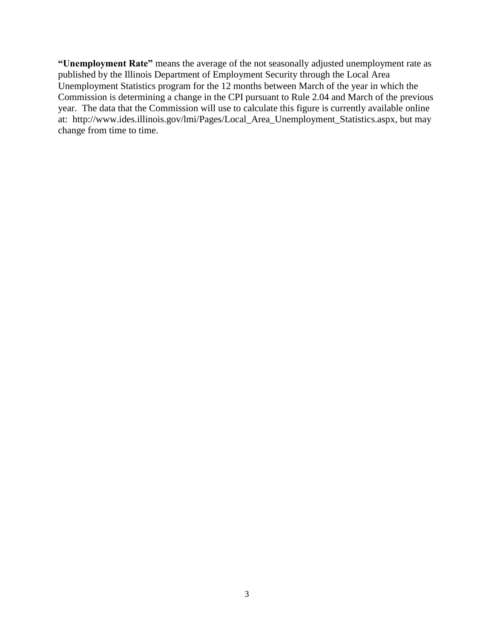**"Unemployment Rate"** means the average of the not seasonally adjusted unemployment rate as published by the Illinois Department of Employment Security through the Local Area Unemployment Statistics program for the 12 months between March of the year in which the Commission is determining a change in the CPI pursuant to Rule 2.04 and March of the previous year. The data that the Commission will use to calculate this figure is currently available online at: http://www.ides.illinois.gov/lmi/Pages/Local\_Area\_Unemployment\_Statistics.aspx, but may change from time to time.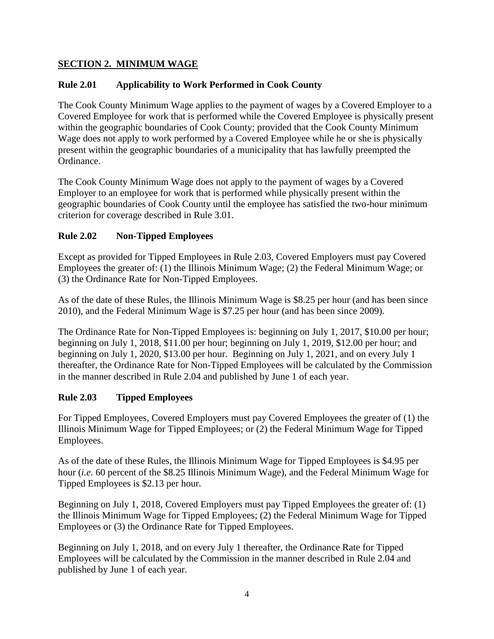## **SECTION 2. MINIMUM WAGE**

## **Rule 2.01 Applicability to Work Performed in Cook County**

The Cook County Minimum Wage applies to the payment of wages by a Covered Employer to a Covered Employee for work that is performed while the Covered Employee is physically present within the geographic boundaries of Cook County; provided that the Cook County Minimum Wage does not apply to work performed by a Covered Employee while he or she is physically present within the geographic boundaries of a municipality that has lawfully preempted the Ordinance.

The Cook County Minimum Wage does not apply to the payment of wages by a Covered Employer to an employee for work that is performed while physically present within the geographic boundaries of Cook County until the employee has satisfied the two-hour minimum criterion for coverage described in Rule 3.01.

## **Rule 2.02 Non-Tipped Employees**

Except as provided for Tipped Employees in Rule 2.03, Covered Employers must pay Covered Employees the greater of: (1) the Illinois Minimum Wage; (2) the Federal Minimum Wage; or (3) the Ordinance Rate for Non-Tipped Employees.

As of the date of these Rules, the Illinois Minimum Wage is \$8.25 per hour (and has been since 2010), and the Federal Minimum Wage is \$7.25 per hour (and has been since 2009).

The Ordinance Rate for Non-Tipped Employees is: beginning on July 1, 2017, \$10.00 per hour; beginning on July 1, 2018, \$11.00 per hour; beginning on July 1, 2019, \$12.00 per hour; and beginning on July 1, 2020, \$13.00 per hour. Beginning on July 1, 2021, and on every July 1 thereafter, the Ordinance Rate for Non-Tipped Employees will be calculated by the Commission in the manner described in Rule 2.04 and published by June 1 of each year.

## **Rule 2.03 Tipped Employees**

For Tipped Employees, Covered Employers must pay Covered Employees the greater of (1) the Illinois Minimum Wage for Tipped Employees; or (2) the Federal Minimum Wage for Tipped Employees.

As of the date of these Rules, the Illinois Minimum Wage for Tipped Employees is \$4.95 per hour (*i.e.* 60 percent of the \$8.25 Illinois Minimum Wage), and the Federal Minimum Wage for Tipped Employees is \$2.13 per hour.

Beginning on July 1, 2018, Covered Employers must pay Tipped Employees the greater of: (1) the Illinois Minimum Wage for Tipped Employees; (2) the Federal Minimum Wage for Tipped Employees or (3) the Ordinance Rate for Tipped Employees.

Beginning on July 1, 2018, and on every July 1 thereafter, the Ordinance Rate for Tipped Employees will be calculated by the Commission in the manner described in Rule 2.04 and published by June 1 of each year.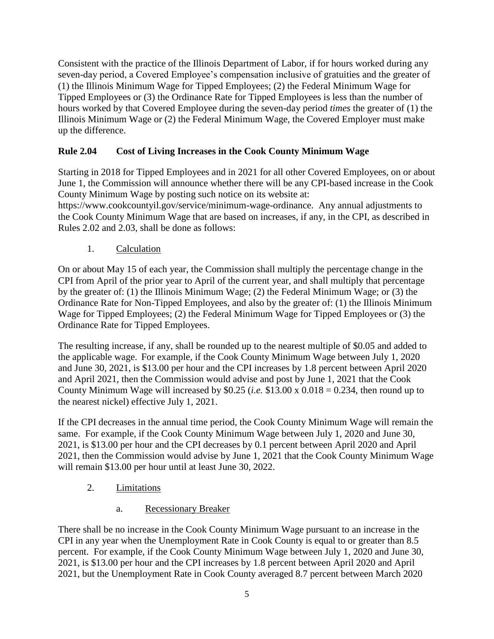Consistent with the practice of the Illinois Department of Labor, if for hours worked during any seven-day period, a Covered Employee's compensation inclusive of gratuities and the greater of (1) the Illinois Minimum Wage for Tipped Employees; (2) the Federal Minimum Wage for Tipped Employees or (3) the Ordinance Rate for Tipped Employees is less than the number of hours worked by that Covered Employee during the seven-day period *times* the greater of (1) the Illinois Minimum Wage or (2) the Federal Minimum Wage, the Covered Employer must make up the difference.

## **Rule 2.04 Cost of Living Increases in the Cook County Minimum Wage**

Starting in 2018 for Tipped Employees and in 2021 for all other Covered Employees, on or about June 1, the Commission will announce whether there will be any CPI-based increase in the Cook County Minimum Wage by posting such notice on its website at:

https://www.cookcountyil.gov/service/minimum-wage-ordinance. Any annual adjustments to the Cook County Minimum Wage that are based on increases, if any, in the CPI, as described in Rules 2.02 and 2.03, shall be done as follows:

1. Calculation

On or about May 15 of each year, the Commission shall multiply the percentage change in the CPI from April of the prior year to April of the current year, and shall multiply that percentage by the greater of: (1) the Illinois Minimum Wage; (2) the Federal Minimum Wage; or (3) the Ordinance Rate for Non-Tipped Employees, and also by the greater of: (1) the Illinois Minimum Wage for Tipped Employees; (2) the Federal Minimum Wage for Tipped Employees or (3) the Ordinance Rate for Tipped Employees.

The resulting increase, if any, shall be rounded up to the nearest multiple of \$0.05 and added to the applicable wage. For example, if the Cook County Minimum Wage between July 1, 2020 and June 30, 2021, is \$13.00 per hour and the CPI increases by 1.8 percent between April 2020 and April 2021, then the Commission would advise and post by June 1, 2021 that the Cook County Minimum Wage will increased by \$0.25 (*i.e.* \$13.00 x  $0.018 = 0.234$ , then round up to the nearest nickel) effective July 1, 2021.

If the CPI decreases in the annual time period, the Cook County Minimum Wage will remain the same. For example, if the Cook County Minimum Wage between July 1, 2020 and June 30, 2021, is \$13.00 per hour and the CPI decreases by 0.1 percent between April 2020 and April 2021, then the Commission would advise by June 1, 2021 that the Cook County Minimum Wage will remain \$13.00 per hour until at least June 30, 2022.

- 2. Limitations
	- a. Recessionary Breaker

There shall be no increase in the Cook County Minimum Wage pursuant to an increase in the CPI in any year when the Unemployment Rate in Cook County is equal to or greater than 8.5 percent. For example, if the Cook County Minimum Wage between July 1, 2020 and June 30, 2021, is \$13.00 per hour and the CPI increases by 1.8 percent between April 2020 and April 2021, but the Unemployment Rate in Cook County averaged 8.7 percent between March 2020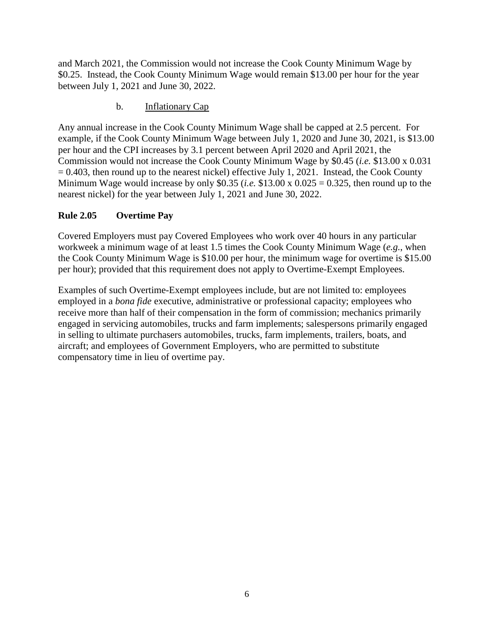and March 2021, the Commission would not increase the Cook County Minimum Wage by \$0.25. Instead, the Cook County Minimum Wage would remain \$13.00 per hour for the year between July 1, 2021 and June 30, 2022.

#### b. Inflationary Cap

Any annual increase in the Cook County Minimum Wage shall be capped at 2.5 percent. For example, if the Cook County Minimum Wage between July 1, 2020 and June 30, 2021, is \$13.00 per hour and the CPI increases by 3.1 percent between April 2020 and April 2021, the Commission would not increase the Cook County Minimum Wage by \$0.45 (*i.e.* \$13.00 x 0.031  $= 0.403$ , then round up to the nearest nickel) effective July 1, 2021. Instead, the Cook County Minimum Wage would increase by only \$0.35 (*i.e.* \$13.00 x 0.025 = 0.325, then round up to the nearest nickel) for the year between July 1, 2021 and June 30, 2022.

#### **Rule 2.05 Overtime Pay**

Covered Employers must pay Covered Employees who work over 40 hours in any particular workweek a minimum wage of at least 1.5 times the Cook County Minimum Wage (*e.g.*, when the Cook County Minimum Wage is \$10.00 per hour, the minimum wage for overtime is \$15.00 per hour); provided that this requirement does not apply to Overtime-Exempt Employees.

Examples of such Overtime-Exempt employees include, but are not limited to: employees employed in a *bona fide* executive, administrative or professional capacity; employees who receive more than half of their compensation in the form of commission; mechanics primarily engaged in servicing automobiles, trucks and farm implements; salespersons primarily engaged in selling to ultimate purchasers automobiles, trucks, farm implements, trailers, boats, and aircraft; and employees of Government Employers, who are permitted to substitute compensatory time in lieu of overtime pay.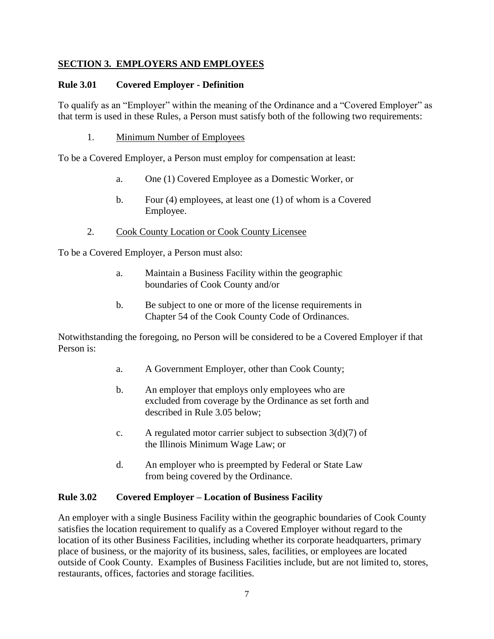#### **SECTION 3. EMPLOYERS AND EMPLOYEES**

#### **Rule 3.01 Covered Employer - Definition**

To qualify as an "Employer" within the meaning of the Ordinance and a "Covered Employer" as that term is used in these Rules, a Person must satisfy both of the following two requirements:

1. Minimum Number of Employees

To be a Covered Employer, a Person must employ for compensation at least:

- a. One (1) Covered Employee as a Domestic Worker, or
- b. Four (4) employees, at least one (1) of whom is a Covered Employee.
- 2. Cook County Location or Cook County Licensee

To be a Covered Employer, a Person must also:

- a. Maintain a Business Facility within the geographic boundaries of Cook County and/or
- b. Be subject to one or more of the license requirements in Chapter 54 of the Cook County Code of Ordinances.

Notwithstanding the foregoing, no Person will be considered to be a Covered Employer if that Person is:

- a. A Government Employer, other than Cook County;
- b. An employer that employs only employees who are excluded from coverage by the Ordinance as set forth and described in Rule 3.05 below;
- c. A regulated motor carrier subject to subsection  $3(d)(7)$  of the Illinois Minimum Wage Law; or
- d. An employer who is preempted by Federal or State Law from being covered by the Ordinance.

#### **Rule 3.02 Covered Employer – Location of Business Facility**

An employer with a single Business Facility within the geographic boundaries of Cook County satisfies the location requirement to qualify as a Covered Employer without regard to the location of its other Business Facilities, including whether its corporate headquarters, primary place of business, or the majority of its business, sales, facilities, or employees are located outside of Cook County. Examples of Business Facilities include, but are not limited to, stores, restaurants, offices, factories and storage facilities.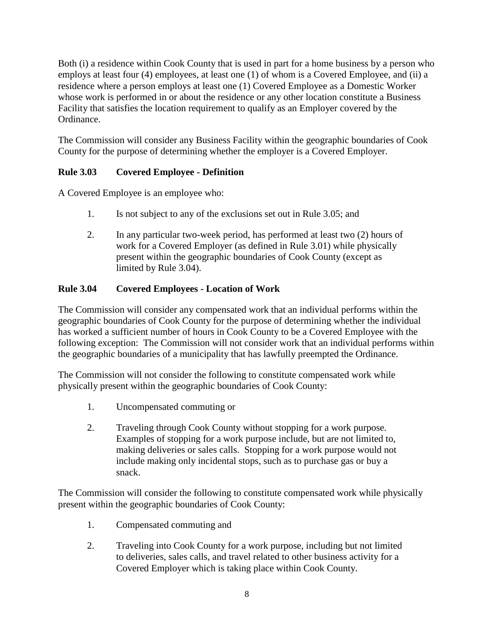Both (i) a residence within Cook County that is used in part for a home business by a person who employs at least four (4) employees, at least one (1) of whom is a Covered Employee, and (ii) a residence where a person employs at least one (1) Covered Employee as a Domestic Worker whose work is performed in or about the residence or any other location constitute a Business Facility that satisfies the location requirement to qualify as an Employer covered by the Ordinance.

The Commission will consider any Business Facility within the geographic boundaries of Cook County for the purpose of determining whether the employer is a Covered Employer.

## **Rule 3.03 Covered Employee - Definition**

A Covered Employee is an employee who:

- 1. Is not subject to any of the exclusions set out in Rule 3.05; and
- 2. In any particular two-week period, has performed at least two (2) hours of work for a Covered Employer (as defined in Rule 3.01) while physically present within the geographic boundaries of Cook County (except as limited by Rule 3.04).

## **Rule 3.04 Covered Employees - Location of Work**

The Commission will consider any compensated work that an individual performs within the geographic boundaries of Cook County for the purpose of determining whether the individual has worked a sufficient number of hours in Cook County to be a Covered Employee with the following exception: The Commission will not consider work that an individual performs within the geographic boundaries of a municipality that has lawfully preempted the Ordinance.

The Commission will not consider the following to constitute compensated work while physically present within the geographic boundaries of Cook County:

- 1. Uncompensated commuting or
- 2. Traveling through Cook County without stopping for a work purpose. Examples of stopping for a work purpose include, but are not limited to, making deliveries or sales calls. Stopping for a work purpose would not include making only incidental stops, such as to purchase gas or buy a snack.

The Commission will consider the following to constitute compensated work while physically present within the geographic boundaries of Cook County:

- 1. Compensated commuting and
- 2. Traveling into Cook County for a work purpose, including but not limited to deliveries, sales calls, and travel related to other business activity for a Covered Employer which is taking place within Cook County.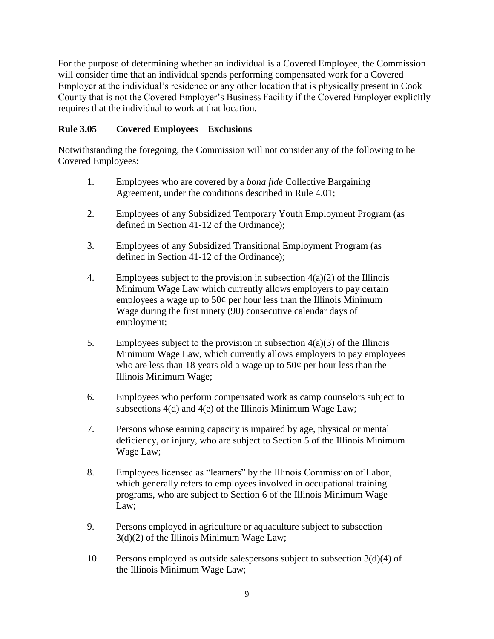For the purpose of determining whether an individual is a Covered Employee, the Commission will consider time that an individual spends performing compensated work for a Covered Employer at the individual's residence or any other location that is physically present in Cook County that is not the Covered Employer's Business Facility if the Covered Employer explicitly requires that the individual to work at that location.

#### **Rule 3.05 Covered Employees – Exclusions**

Notwithstanding the foregoing, the Commission will not consider any of the following to be Covered Employees:

- 1. Employees who are covered by a *bona fide* Collective Bargaining Agreement, under the conditions described in Rule 4.01;
- 2. Employees of any Subsidized Temporary Youth Employment Program (as defined in Section 41-12 of the Ordinance);
- 3. Employees of any Subsidized Transitional Employment Program (as defined in Section 41-12 of the Ordinance);
- 4. Employees subject to the provision in subsection  $4(a)(2)$  of the Illinois Minimum Wage Law which currently allows employers to pay certain employees a wage up to  $50¢$  per hour less than the Illinois Minimum Wage during the first ninety (90) consecutive calendar days of employment;
- 5. Employees subject to the provision in subsection  $4(a)(3)$  of the Illinois Minimum Wage Law, which currently allows employers to pay employees who are less than 18 years old a wage up to  $50¢$  per hour less than the Illinois Minimum Wage;
- 6. Employees who perform compensated work as camp counselors subject to subsections 4(d) and 4(e) of the Illinois Minimum Wage Law;
- 7. Persons whose earning capacity is impaired by age, physical or mental deficiency, or injury, who are subject to Section 5 of the Illinois Minimum Wage Law;
- 8. Employees licensed as "learners" by the Illinois Commission of Labor, which generally refers to employees involved in occupational training programs, who are subject to Section 6 of the Illinois Minimum Wage Law;
- 9. Persons employed in agriculture or aquaculture subject to subsection 3(d)(2) of the Illinois Minimum Wage Law;
- 10. Persons employed as outside salespersons subject to subsection  $3(d)(4)$  of the Illinois Minimum Wage Law;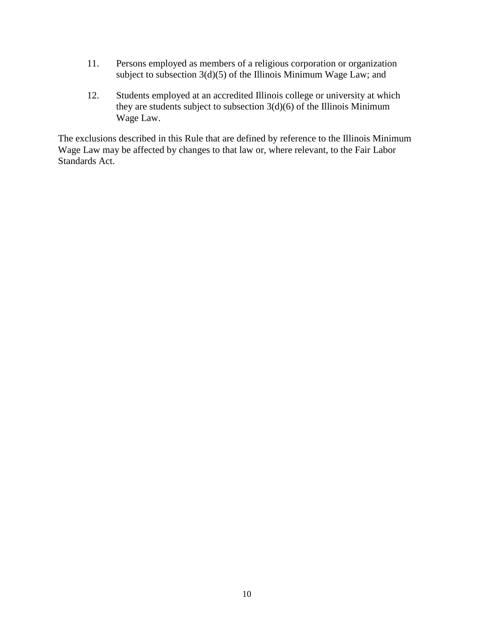- 11. Persons employed as members of a religious corporation or organization subject to subsection  $3(d)(5)$  of the Illinois Minimum Wage Law; and
- 12. Students employed at an accredited Illinois college or university at which they are students subject to subsection  $3(d)(6)$  of the Illinois Minimum Wage Law.

The exclusions described in this Rule that are defined by reference to the Illinois Minimum Wage Law may be affected by changes to that law or, where relevant, to the Fair Labor Standards Act.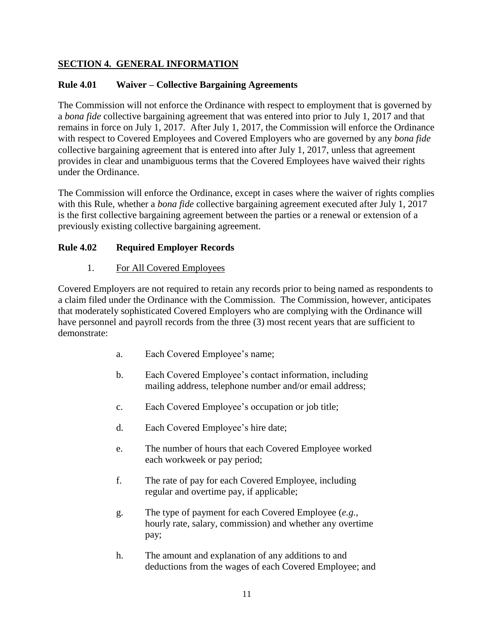## **SECTION 4. GENERAL INFORMATION**

#### **Rule 4.01 Waiver – Collective Bargaining Agreements**

The Commission will not enforce the Ordinance with respect to employment that is governed by a *bona fide* collective bargaining agreement that was entered into prior to July 1, 2017 and that remains in force on July 1, 2017. After July 1, 2017, the Commission will enforce the Ordinance with respect to Covered Employees and Covered Employers who are governed by any *bona fide* collective bargaining agreement that is entered into after July 1, 2017, unless that agreement provides in clear and unambiguous terms that the Covered Employees have waived their rights under the Ordinance.

The Commission will enforce the Ordinance, except in cases where the waiver of rights complies with this Rule, whether a *bona fide* collective bargaining agreement executed after July 1, 2017 is the first collective bargaining agreement between the parties or a renewal or extension of a previously existing collective bargaining agreement.

#### **Rule 4.02 Required Employer Records**

#### 1. For All Covered Employees

Covered Employers are not required to retain any records prior to being named as respondents to a claim filed under the Ordinance with the Commission. The Commission, however, anticipates that moderately sophisticated Covered Employers who are complying with the Ordinance will have personnel and payroll records from the three (3) most recent years that are sufficient to demonstrate:

- a. Each Covered Employee's name;
- b. Each Covered Employee's contact information, including mailing address, telephone number and/or email address;
- c. Each Covered Employee's occupation or job title;
- d. Each Covered Employee's hire date;
- e. The number of hours that each Covered Employee worked each workweek or pay period;
- f. The rate of pay for each Covered Employee, including regular and overtime pay, if applicable;
- g. The type of payment for each Covered Employee (*e.g.*, hourly rate, salary, commission) and whether any overtime pay;
- h. The amount and explanation of any additions to and deductions from the wages of each Covered Employee; and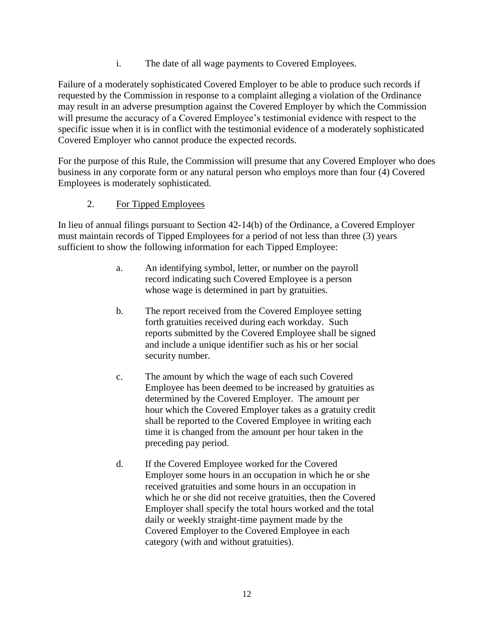i. The date of all wage payments to Covered Employees.

Failure of a moderately sophisticated Covered Employer to be able to produce such records if requested by the Commission in response to a complaint alleging a violation of the Ordinance may result in an adverse presumption against the Covered Employer by which the Commission will presume the accuracy of a Covered Employee's testimonial evidence with respect to the specific issue when it is in conflict with the testimonial evidence of a moderately sophisticated Covered Employer who cannot produce the expected records.

For the purpose of this Rule, the Commission will presume that any Covered Employer who does business in any corporate form or any natural person who employs more than four (4) Covered Employees is moderately sophisticated.

## 2. For Tipped Employees

In lieu of annual filings pursuant to Section 42-14(b) of the Ordinance, a Covered Employer must maintain records of Tipped Employees for a period of not less than three (3) years sufficient to show the following information for each Tipped Employee:

- a. An identifying symbol, letter, or number on the payroll record indicating such Covered Employee is a person whose wage is determined in part by gratuities.
- b. The report received from the Covered Employee setting forth gratuities received during each workday. Such reports submitted by the Covered Employee shall be signed and include a unique identifier such as his or her social security number.
- c. The amount by which the wage of each such Covered Employee has been deemed to be increased by gratuities as determined by the Covered Employer. The amount per hour which the Covered Employer takes as a gratuity credit shall be reported to the Covered Employee in writing each time it is changed from the amount per hour taken in the preceding pay period.
- d. If the Covered Employee worked for the Covered Employer some hours in an occupation in which he or she received gratuities and some hours in an occupation in which he or she did not receive gratuities, then the Covered Employer shall specify the total hours worked and the total daily or weekly straight-time payment made by the Covered Employer to the Covered Employee in each category (with and without gratuities).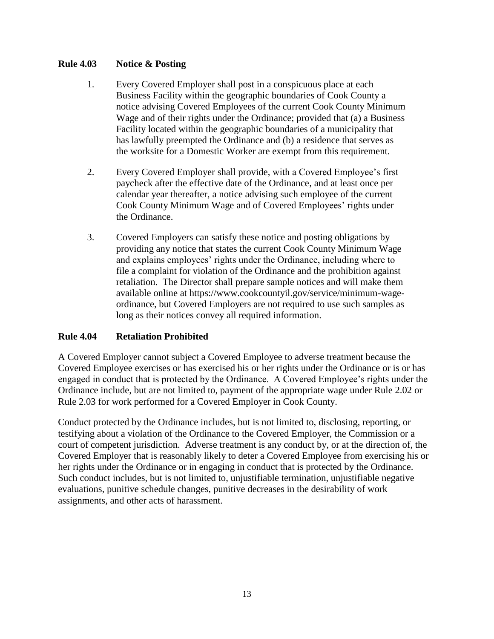#### **Rule 4.03 Notice & Posting**

- 1. Every Covered Employer shall post in a conspicuous place at each Business Facility within the geographic boundaries of Cook County a notice advising Covered Employees of the current Cook County Minimum Wage and of their rights under the Ordinance; provided that (a) a Business Facility located within the geographic boundaries of a municipality that has lawfully preempted the Ordinance and (b) a residence that serves as the worksite for a Domestic Worker are exempt from this requirement.
- 2. Every Covered Employer shall provide, with a Covered Employee's first paycheck after the effective date of the Ordinance, and at least once per calendar year thereafter, a notice advising such employee of the current Cook County Minimum Wage and of Covered Employees' rights under the Ordinance.
- 3. Covered Employers can satisfy these notice and posting obligations by providing any notice that states the current Cook County Minimum Wage and explains employees' rights under the Ordinance, including where to file a complaint for violation of the Ordinance and the prohibition against retaliation. The Director shall prepare sample notices and will make them available online at https://www.cookcountyil.gov/service/minimum-wageordinance, but Covered Employers are not required to use such samples as long as their notices convey all required information.

#### **Rule 4.04 Retaliation Prohibited**

A Covered Employer cannot subject a Covered Employee to adverse treatment because the Covered Employee exercises or has exercised his or her rights under the Ordinance or is or has engaged in conduct that is protected by the Ordinance. A Covered Employee's rights under the Ordinance include, but are not limited to, payment of the appropriate wage under Rule 2.02 or Rule 2.03 for work performed for a Covered Employer in Cook County.

Conduct protected by the Ordinance includes, but is not limited to, disclosing, reporting, or testifying about a violation of the Ordinance to the Covered Employer, the Commission or a court of competent jurisdiction. Adverse treatment is any conduct by, or at the direction of, the Covered Employer that is reasonably likely to deter a Covered Employee from exercising his or her rights under the Ordinance or in engaging in conduct that is protected by the Ordinance. Such conduct includes, but is not limited to, unjustifiable termination, unjustifiable negative evaluations, punitive schedule changes, punitive decreases in the desirability of work assignments, and other acts of harassment.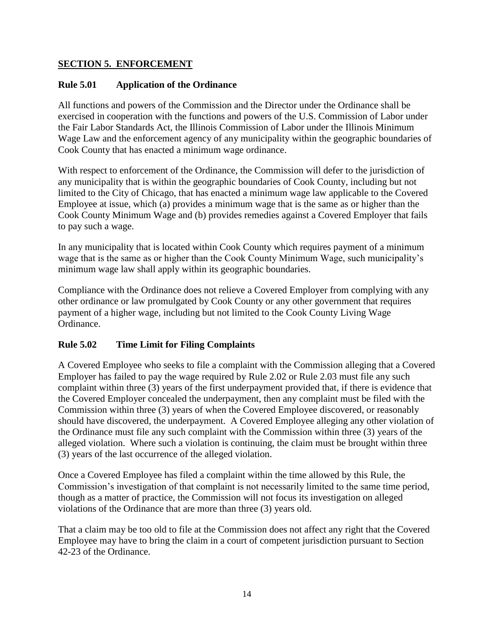#### **SECTION 5. ENFORCEMENT**

## **Rule 5.01 Application of the Ordinance**

All functions and powers of the Commission and the Director under the Ordinance shall be exercised in cooperation with the functions and powers of the U.S. Commission of Labor under the Fair Labor Standards Act, the Illinois Commission of Labor under the Illinois Minimum Wage Law and the enforcement agency of any municipality within the geographic boundaries of Cook County that has enacted a minimum wage ordinance.

With respect to enforcement of the Ordinance, the Commission will defer to the jurisdiction of any municipality that is within the geographic boundaries of Cook County, including but not limited to the City of Chicago, that has enacted a minimum wage law applicable to the Covered Employee at issue, which (a) provides a minimum wage that is the same as or higher than the Cook County Minimum Wage and (b) provides remedies against a Covered Employer that fails to pay such a wage.

In any municipality that is located within Cook County which requires payment of a minimum wage that is the same as or higher than the Cook County Minimum Wage, such municipality's minimum wage law shall apply within its geographic boundaries.

Compliance with the Ordinance does not relieve a Covered Employer from complying with any other ordinance or law promulgated by Cook County or any other government that requires payment of a higher wage, including but not limited to the Cook County Living Wage Ordinance.

#### **Rule 5.02 Time Limit for Filing Complaints**

A Covered Employee who seeks to file a complaint with the Commission alleging that a Covered Employer has failed to pay the wage required by Rule 2.02 or Rule 2.03 must file any such complaint within three (3) years of the first underpayment provided that, if there is evidence that the Covered Employer concealed the underpayment, then any complaint must be filed with the Commission within three (3) years of when the Covered Employee discovered, or reasonably should have discovered, the underpayment. A Covered Employee alleging any other violation of the Ordinance must file any such complaint with the Commission within three (3) years of the alleged violation. Where such a violation is continuing, the claim must be brought within three (3) years of the last occurrence of the alleged violation.

Once a Covered Employee has filed a complaint within the time allowed by this Rule, the Commission's investigation of that complaint is not necessarily limited to the same time period, though as a matter of practice, the Commission will not focus its investigation on alleged violations of the Ordinance that are more than three (3) years old.

That a claim may be too old to file at the Commission does not affect any right that the Covered Employee may have to bring the claim in a court of competent jurisdiction pursuant to Section 42-23 of the Ordinance.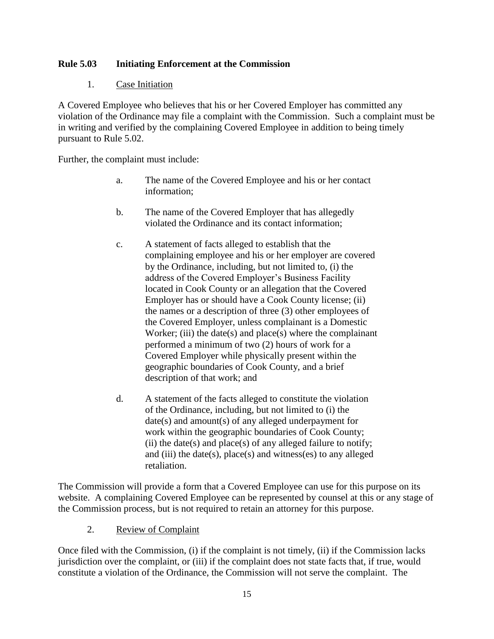#### **Rule 5.03 Initiating Enforcement at the Commission**

#### 1. Case Initiation

A Covered Employee who believes that his or her Covered Employer has committed any violation of the Ordinance may file a complaint with the Commission. Such a complaint must be in writing and verified by the complaining Covered Employee in addition to being timely pursuant to Rule 5.02.

Further, the complaint must include:

- a. The name of the Covered Employee and his or her contact information;
- b. The name of the Covered Employer that has allegedly violated the Ordinance and its contact information;
- c. A statement of facts alleged to establish that the complaining employee and his or her employer are covered by the Ordinance, including, but not limited to, (i) the address of the Covered Employer's Business Facility located in Cook County or an allegation that the Covered Employer has or should have a Cook County license; (ii) the names or a description of three (3) other employees of the Covered Employer, unless complainant is a Domestic Worker; (iii) the date(s) and place(s) where the complainant performed a minimum of two (2) hours of work for a Covered Employer while physically present within the geographic boundaries of Cook County, and a brief description of that work; and
- d. A statement of the facts alleged to constitute the violation of the Ordinance, including, but not limited to (i) the date(s) and amount(s) of any alleged underpayment for work within the geographic boundaries of Cook County; (ii) the date(s) and place(s) of any alleged failure to notify; and (iii) the date(s), place(s) and witness(es) to any alleged retaliation.

The Commission will provide a form that a Covered Employee can use for this purpose on its website. A complaining Covered Employee can be represented by counsel at this or any stage of the Commission process, but is not required to retain an attorney for this purpose.

#### 2. Review of Complaint

Once filed with the Commission, (i) if the complaint is not timely, (ii) if the Commission lacks jurisdiction over the complaint, or (iii) if the complaint does not state facts that, if true, would constitute a violation of the Ordinance, the Commission will not serve the complaint. The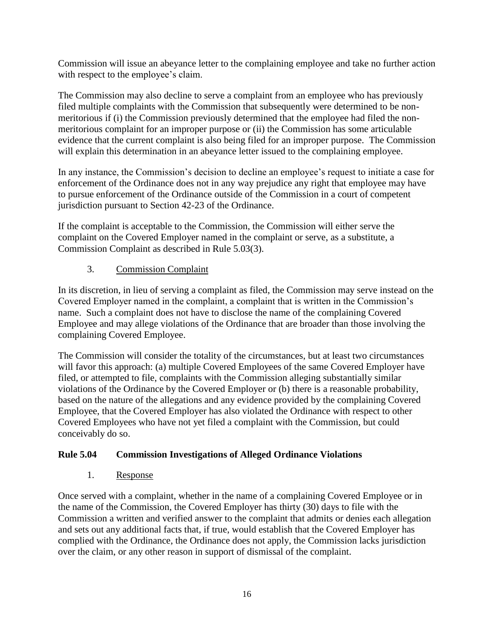Commission will issue an abeyance letter to the complaining employee and take no further action with respect to the employee's claim.

The Commission may also decline to serve a complaint from an employee who has previously filed multiple complaints with the Commission that subsequently were determined to be nonmeritorious if (i) the Commission previously determined that the employee had filed the nonmeritorious complaint for an improper purpose or (ii) the Commission has some articulable evidence that the current complaint is also being filed for an improper purpose. The Commission will explain this determination in an abeyance letter issued to the complaining employee.

In any instance, the Commission's decision to decline an employee's request to initiate a case for enforcement of the Ordinance does not in any way prejudice any right that employee may have to pursue enforcement of the Ordinance outside of the Commission in a court of competent jurisdiction pursuant to Section 42-23 of the Ordinance.

If the complaint is acceptable to the Commission, the Commission will either serve the complaint on the Covered Employer named in the complaint or serve, as a substitute, a Commission Complaint as described in Rule 5.03(3).

## 3. Commission Complaint

In its discretion, in lieu of serving a complaint as filed, the Commission may serve instead on the Covered Employer named in the complaint, a complaint that is written in the Commission's name. Such a complaint does not have to disclose the name of the complaining Covered Employee and may allege violations of the Ordinance that are broader than those involving the complaining Covered Employee.

The Commission will consider the totality of the circumstances, but at least two circumstances will favor this approach: (a) multiple Covered Employees of the same Covered Employer have filed, or attempted to file, complaints with the Commission alleging substantially similar violations of the Ordinance by the Covered Employer or (b) there is a reasonable probability, based on the nature of the allegations and any evidence provided by the complaining Covered Employee, that the Covered Employer has also violated the Ordinance with respect to other Covered Employees who have not yet filed a complaint with the Commission, but could conceivably do so.

## **Rule 5.04 Commission Investigations of Alleged Ordinance Violations**

#### 1. Response

Once served with a complaint, whether in the name of a complaining Covered Employee or in the name of the Commission, the Covered Employer has thirty (30) days to file with the Commission a written and verified answer to the complaint that admits or denies each allegation and sets out any additional facts that, if true, would establish that the Covered Employer has complied with the Ordinance, the Ordinance does not apply, the Commission lacks jurisdiction over the claim, or any other reason in support of dismissal of the complaint.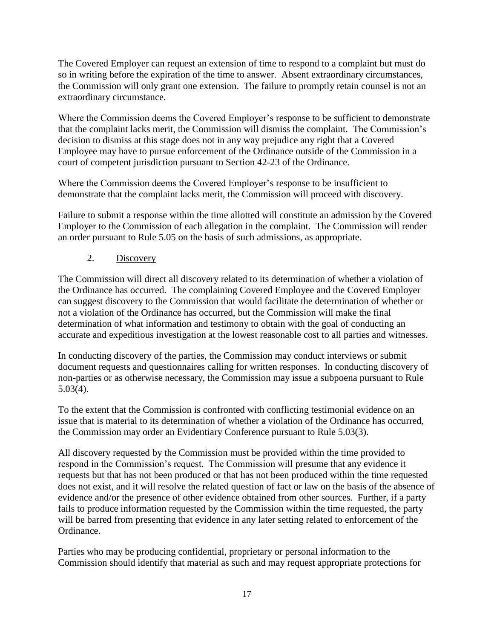The Covered Employer can request an extension of time to respond to a complaint but must do so in writing before the expiration of the time to answer. Absent extraordinary circumstances, the Commission will only grant one extension. The failure to promptly retain counsel is not an extraordinary circumstance.

Where the Commission deems the Covered Employer's response to be sufficient to demonstrate that the complaint lacks merit, the Commission will dismiss the complaint. The Commission's decision to dismiss at this stage does not in any way prejudice any right that a Covered Employee may have to pursue enforcement of the Ordinance outside of the Commission in a court of competent jurisdiction pursuant to Section 42-23 of the Ordinance.

Where the Commission deems the Covered Employer's response to be insufficient to demonstrate that the complaint lacks merit, the Commission will proceed with discovery.

Failure to submit a response within the time allotted will constitute an admission by the Covered Employer to the Commission of each allegation in the complaint. The Commission will render an order pursuant to Rule 5.05 on the basis of such admissions, as appropriate.

## 2. Discovery

The Commission will direct all discovery related to its determination of whether a violation of the Ordinance has occurred. The complaining Covered Employee and the Covered Employer can suggest discovery to the Commission that would facilitate the determination of whether or not a violation of the Ordinance has occurred, but the Commission will make the final determination of what information and testimony to obtain with the goal of conducting an accurate and expeditious investigation at the lowest reasonable cost to all parties and witnesses.

In conducting discovery of the parties, the Commission may conduct interviews or submit document requests and questionnaires calling for written responses. In conducting discovery of non-parties or as otherwise necessary, the Commission may issue a subpoena pursuant to Rule 5.03(4).

To the extent that the Commission is confronted with conflicting testimonial evidence on an issue that is material to its determination of whether a violation of the Ordinance has occurred, the Commission may order an Evidentiary Conference pursuant to Rule 5.03(3).

All discovery requested by the Commission must be provided within the time provided to respond in the Commission's request. The Commission will presume that any evidence it requests but that has not been produced or that has not been produced within the time requested does not exist, and it will resolve the related question of fact or law on the basis of the absence of evidence and/or the presence of other evidence obtained from other sources. Further, if a party fails to produce information requested by the Commission within the time requested, the party will be barred from presenting that evidence in any later setting related to enforcement of the Ordinance.

Parties who may be producing confidential, proprietary or personal information to the Commission should identify that material as such and may request appropriate protections for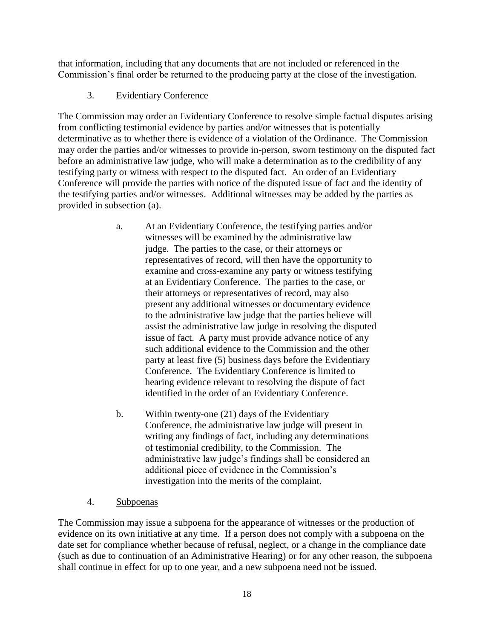that information, including that any documents that are not included or referenced in the Commission's final order be returned to the producing party at the close of the investigation.

## 3. Evidentiary Conference

The Commission may order an Evidentiary Conference to resolve simple factual disputes arising from conflicting testimonial evidence by parties and/or witnesses that is potentially determinative as to whether there is evidence of a violation of the Ordinance. The Commission may order the parties and/or witnesses to provide in-person, sworn testimony on the disputed fact before an administrative law judge, who will make a determination as to the credibility of any testifying party or witness with respect to the disputed fact. An order of an Evidentiary Conference will provide the parties with notice of the disputed issue of fact and the identity of the testifying parties and/or witnesses. Additional witnesses may be added by the parties as provided in subsection (a).

- a. At an Evidentiary Conference, the testifying parties and/or witnesses will be examined by the administrative law judge. The parties to the case, or their attorneys or representatives of record, will then have the opportunity to examine and cross-examine any party or witness testifying at an Evidentiary Conference. The parties to the case, or their attorneys or representatives of record, may also present any additional witnesses or documentary evidence to the administrative law judge that the parties believe will assist the administrative law judge in resolving the disputed issue of fact. A party must provide advance notice of any such additional evidence to the Commission and the other party at least five (5) business days before the Evidentiary Conference. The Evidentiary Conference is limited to hearing evidence relevant to resolving the dispute of fact identified in the order of an Evidentiary Conference.
- b. Within twenty-one (21) days of the Evidentiary Conference, the administrative law judge will present in writing any findings of fact, including any determinations of testimonial credibility, to the Commission. The administrative law judge's findings shall be considered an additional piece of evidence in the Commission's investigation into the merits of the complaint.
- 4. Subpoenas

The Commission may issue a subpoena for the appearance of witnesses or the production of evidence on its own initiative at any time. If a person does not comply with a subpoena on the date set for compliance whether because of refusal, neglect, or a change in the compliance date (such as due to continuation of an Administrative Hearing) or for any other reason, the subpoena shall continue in effect for up to one year, and a new subpoena need not be issued.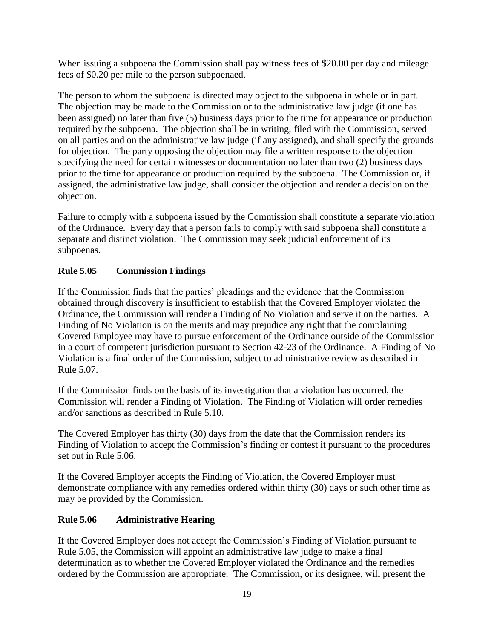When issuing a subpoena the Commission shall pay witness fees of \$20.00 per day and mileage fees of \$0.20 per mile to the person subpoenaed.

The person to whom the subpoena is directed may object to the subpoena in whole or in part. The objection may be made to the Commission or to the administrative law judge (if one has been assigned) no later than five (5) business days prior to the time for appearance or production required by the subpoena. The objection shall be in writing, filed with the Commission, served on all parties and on the administrative law judge (if any assigned), and shall specify the grounds for objection. The party opposing the objection may file a written response to the objection specifying the need for certain witnesses or documentation no later than two (2) business days prior to the time for appearance or production required by the subpoena. The Commission or, if assigned, the administrative law judge, shall consider the objection and render a decision on the objection.

Failure to comply with a subpoena issued by the Commission shall constitute a separate violation of the Ordinance. Every day that a person fails to comply with said subpoena shall constitute a separate and distinct violation. The Commission may seek judicial enforcement of its subpoenas.

## **Rule 5.05 Commission Findings**

If the Commission finds that the parties' pleadings and the evidence that the Commission obtained through discovery is insufficient to establish that the Covered Employer violated the Ordinance, the Commission will render a Finding of No Violation and serve it on the parties. A Finding of No Violation is on the merits and may prejudice any right that the complaining Covered Employee may have to pursue enforcement of the Ordinance outside of the Commission in a court of competent jurisdiction pursuant to Section 42-23 of the Ordinance. A Finding of No Violation is a final order of the Commission, subject to administrative review as described in Rule 5.07.

If the Commission finds on the basis of its investigation that a violation has occurred, the Commission will render a Finding of Violation. The Finding of Violation will order remedies and/or sanctions as described in Rule 5.10.

The Covered Employer has thirty (30) days from the date that the Commission renders its Finding of Violation to accept the Commission's finding or contest it pursuant to the procedures set out in Rule 5.06.

If the Covered Employer accepts the Finding of Violation, the Covered Employer must demonstrate compliance with any remedies ordered within thirty (30) days or such other time as may be provided by the Commission.

## **Rule 5.06 Administrative Hearing**

If the Covered Employer does not accept the Commission's Finding of Violation pursuant to Rule 5.05, the Commission will appoint an administrative law judge to make a final determination as to whether the Covered Employer violated the Ordinance and the remedies ordered by the Commission are appropriate. The Commission, or its designee, will present the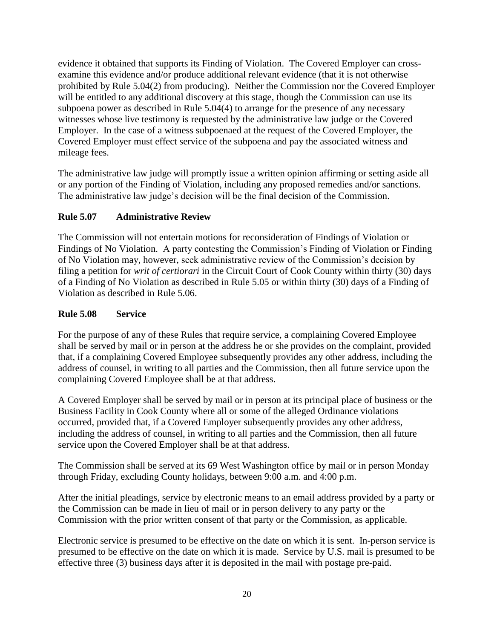evidence it obtained that supports its Finding of Violation. The Covered Employer can crossexamine this evidence and/or produce additional relevant evidence (that it is not otherwise prohibited by Rule 5.04(2) from producing). Neither the Commission nor the Covered Employer will be entitled to any additional discovery at this stage, though the Commission can use its subpoena power as described in Rule 5.04(4) to arrange for the presence of any necessary witnesses whose live testimony is requested by the administrative law judge or the Covered Employer. In the case of a witness subpoenaed at the request of the Covered Employer, the Covered Employer must effect service of the subpoena and pay the associated witness and mileage fees.

The administrative law judge will promptly issue a written opinion affirming or setting aside all or any portion of the Finding of Violation, including any proposed remedies and/or sanctions. The administrative law judge's decision will be the final decision of the Commission.

## **Rule 5.07 Administrative Review**

The Commission will not entertain motions for reconsideration of Findings of Violation or Findings of No Violation. A party contesting the Commission's Finding of Violation or Finding of No Violation may, however, seek administrative review of the Commission's decision by filing a petition for *writ of certiorari* in the Circuit Court of Cook County within thirty (30) days of a Finding of No Violation as described in Rule 5.05 or within thirty (30) days of a Finding of Violation as described in Rule 5.06.

## **Rule 5.08 Service**

For the purpose of any of these Rules that require service, a complaining Covered Employee shall be served by mail or in person at the address he or she provides on the complaint, provided that, if a complaining Covered Employee subsequently provides any other address, including the address of counsel, in writing to all parties and the Commission, then all future service upon the complaining Covered Employee shall be at that address.

A Covered Employer shall be served by mail or in person at its principal place of business or the Business Facility in Cook County where all or some of the alleged Ordinance violations occurred, provided that, if a Covered Employer subsequently provides any other address, including the address of counsel, in writing to all parties and the Commission, then all future service upon the Covered Employer shall be at that address.

The Commission shall be served at its 69 West Washington office by mail or in person Monday through Friday, excluding County holidays, between 9:00 a.m. and 4:00 p.m.

After the initial pleadings, service by electronic means to an email address provided by a party or the Commission can be made in lieu of mail or in person delivery to any party or the Commission with the prior written consent of that party or the Commission, as applicable.

Electronic service is presumed to be effective on the date on which it is sent. In-person service is presumed to be effective on the date on which it is made. Service by U.S. mail is presumed to be effective three (3) business days after it is deposited in the mail with postage pre-paid.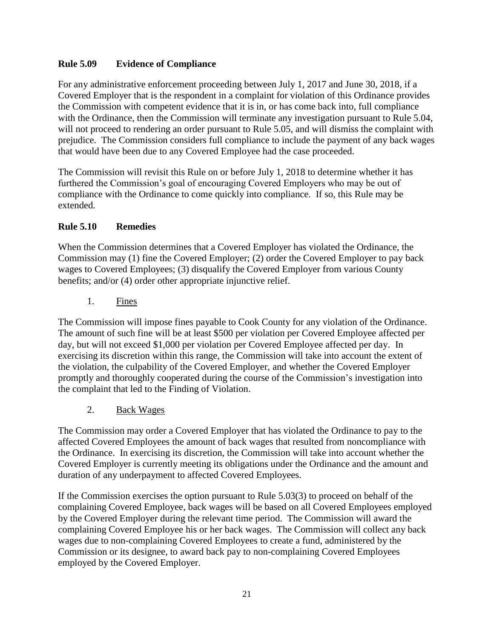## **Rule 5.09 Evidence of Compliance**

For any administrative enforcement proceeding between July 1, 2017 and June 30, 2018, if a Covered Employer that is the respondent in a complaint for violation of this Ordinance provides the Commission with competent evidence that it is in, or has come back into, full compliance with the Ordinance, then the Commission will terminate any investigation pursuant to Rule 5.04, will not proceed to rendering an order pursuant to Rule 5.05, and will dismiss the complaint with prejudice. The Commission considers full compliance to include the payment of any back wages that would have been due to any Covered Employee had the case proceeded.

The Commission will revisit this Rule on or before July 1, 2018 to determine whether it has furthered the Commission's goal of encouraging Covered Employers who may be out of compliance with the Ordinance to come quickly into compliance. If so, this Rule may be extended.

#### **Rule 5.10 Remedies**

When the Commission determines that a Covered Employer has violated the Ordinance, the Commission may (1) fine the Covered Employer; (2) order the Covered Employer to pay back wages to Covered Employees; (3) disqualify the Covered Employer from various County benefits; and/or (4) order other appropriate injunctive relief.

1. Fines

The Commission will impose fines payable to Cook County for any violation of the Ordinance. The amount of such fine will be at least \$500 per violation per Covered Employee affected per day, but will not exceed \$1,000 per violation per Covered Employee affected per day. In exercising its discretion within this range, the Commission will take into account the extent of the violation, the culpability of the Covered Employer, and whether the Covered Employer promptly and thoroughly cooperated during the course of the Commission's investigation into the complaint that led to the Finding of Violation.

2. Back Wages

The Commission may order a Covered Employer that has violated the Ordinance to pay to the affected Covered Employees the amount of back wages that resulted from noncompliance with the Ordinance. In exercising its discretion, the Commission will take into account whether the Covered Employer is currently meeting its obligations under the Ordinance and the amount and duration of any underpayment to affected Covered Employees.

If the Commission exercises the option pursuant to Rule 5.03(3) to proceed on behalf of the complaining Covered Employee, back wages will be based on all Covered Employees employed by the Covered Employer during the relevant time period. The Commission will award the complaining Covered Employee his or her back wages. The Commission will collect any back wages due to non-complaining Covered Employees to create a fund, administered by the Commission or its designee, to award back pay to non-complaining Covered Employees employed by the Covered Employer.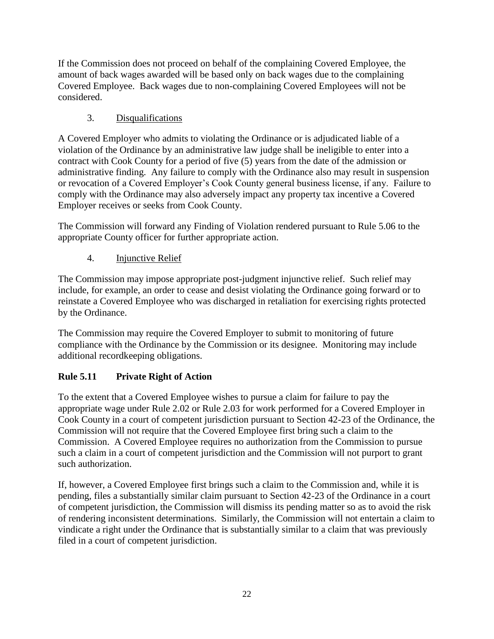If the Commission does not proceed on behalf of the complaining Covered Employee, the amount of back wages awarded will be based only on back wages due to the complaining Covered Employee. Back wages due to non-complaining Covered Employees will not be considered.

## 3. Disqualifications

A Covered Employer who admits to violating the Ordinance or is adjudicated liable of a violation of the Ordinance by an administrative law judge shall be ineligible to enter into a contract with Cook County for a period of five (5) years from the date of the admission or administrative finding. Any failure to comply with the Ordinance also may result in suspension or revocation of a Covered Employer's Cook County general business license, if any. Failure to comply with the Ordinance may also adversely impact any property tax incentive a Covered Employer receives or seeks from Cook County.

The Commission will forward any Finding of Violation rendered pursuant to Rule 5.06 to the appropriate County officer for further appropriate action.

## 4. Injunctive Relief

The Commission may impose appropriate post-judgment injunctive relief. Such relief may include, for example, an order to cease and desist violating the Ordinance going forward or to reinstate a Covered Employee who was discharged in retaliation for exercising rights protected by the Ordinance.

The Commission may require the Covered Employer to submit to monitoring of future compliance with the Ordinance by the Commission or its designee. Monitoring may include additional recordkeeping obligations.

## **Rule 5.11 Private Right of Action**

To the extent that a Covered Employee wishes to pursue a claim for failure to pay the appropriate wage under Rule 2.02 or Rule 2.03 for work performed for a Covered Employer in Cook County in a court of competent jurisdiction pursuant to Section 42-23 of the Ordinance, the Commission will not require that the Covered Employee first bring such a claim to the Commission. A Covered Employee requires no authorization from the Commission to pursue such a claim in a court of competent jurisdiction and the Commission will not purport to grant such authorization.

If, however, a Covered Employee first brings such a claim to the Commission and, while it is pending, files a substantially similar claim pursuant to Section 42-23 of the Ordinance in a court of competent jurisdiction, the Commission will dismiss its pending matter so as to avoid the risk of rendering inconsistent determinations. Similarly, the Commission will not entertain a claim to vindicate a right under the Ordinance that is substantially similar to a claim that was previously filed in a court of competent jurisdiction.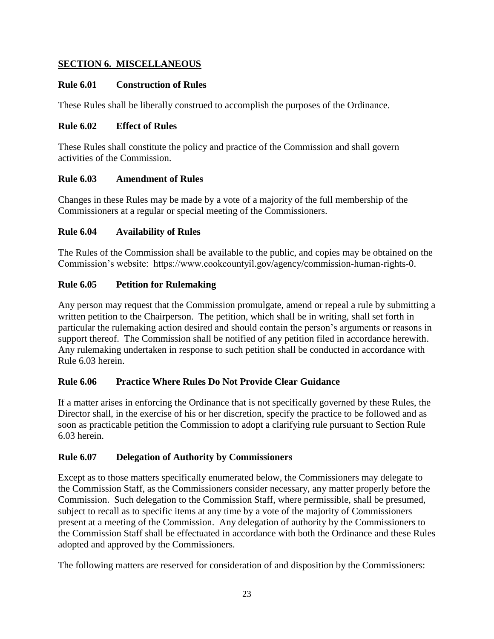## **SECTION 6. MISCELLANEOUS**

#### **Rule 6.01 Construction of Rules**

These Rules shall be liberally construed to accomplish the purposes of the Ordinance.

#### **Rule 6.02 Effect of Rules**

These Rules shall constitute the policy and practice of the Commission and shall govern activities of the Commission.

## **Rule 6.03 Amendment of Rules**

Changes in these Rules may be made by a vote of a majority of the full membership of the Commissioners at a regular or special meeting of the Commissioners.

## **Rule 6.04 Availability of Rules**

The Rules of the Commission shall be available to the public, and copies may be obtained on the Commission's website: https://www.cookcountyil.gov/agency/commission-human-rights-0.

## **Rule 6.05 Petition for Rulemaking**

Any person may request that the Commission promulgate, amend or repeal a rule by submitting a written petition to the Chairperson. The petition, which shall be in writing, shall set forth in particular the rulemaking action desired and should contain the person's arguments or reasons in support thereof. The Commission shall be notified of any petition filed in accordance herewith. Any rulemaking undertaken in response to such petition shall be conducted in accordance with Rule 6.03 herein.

## **Rule 6.06 Practice Where Rules Do Not Provide Clear Guidance**

If a matter arises in enforcing the Ordinance that is not specifically governed by these Rules, the Director shall, in the exercise of his or her discretion, specify the practice to be followed and as soon as practicable petition the Commission to adopt a clarifying rule pursuant to Section Rule 6.03 herein.

## **Rule 6.07 Delegation of Authority by Commissioners**

Except as to those matters specifically enumerated below, the Commissioners may delegate to the Commission Staff, as the Commissioners consider necessary, any matter properly before the Commission. Such delegation to the Commission Staff, where permissible, shall be presumed, subject to recall as to specific items at any time by a vote of the majority of Commissioners present at a meeting of the Commission. Any delegation of authority by the Commissioners to the Commission Staff shall be effectuated in accordance with both the Ordinance and these Rules adopted and approved by the Commissioners.

The following matters are reserved for consideration of and disposition by the Commissioners: